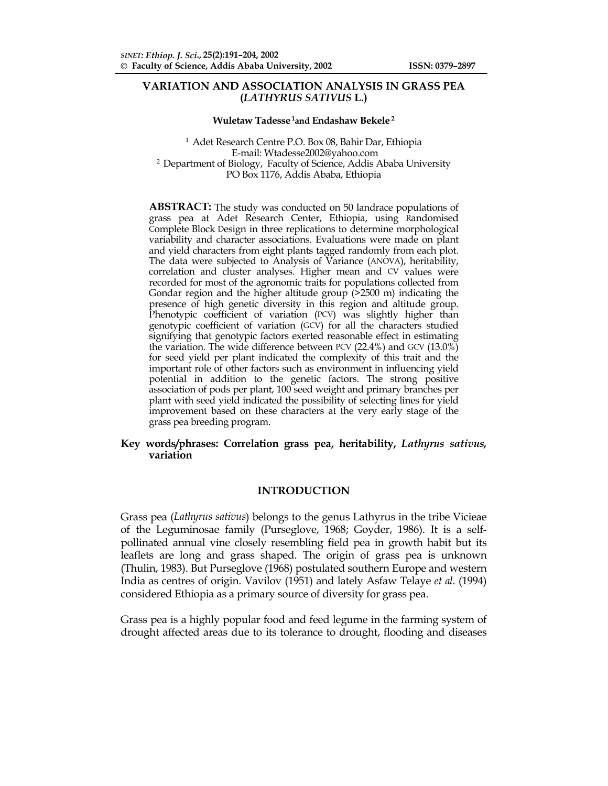## **VARIATION AND ASSOCIATION ANALYSIS IN GRASS PEA (***LATHYRUS SATIVUS* **L.)**

#### **Wuletaw Tadesse 1and Endashaw Bekele 2**

1 Adet Research Centre P.O. Box 08, Bahir Dar, Ethiopia E-mail: Wtadesse2002@yahoo.com <sup>2</sup> Department of Biology, Faculty of Science, Addis Ababa University PO Box 1176, Addis Ababa, Ethiopia

**ABSTRACT:** The study was conducted on 50 landrace populations of grass pea at Adet Research Center, Ethiopia, using Randomised Complete Block Design in three replications to determine morphological variability and character associations. Evaluations were made on plant and yield characters from eight plants tagged randomly from each plot. The data were subjected to Analysis of Variance (ANOVA), heritability, correlation and cluster analyses. Higher mean and CV values were recorded for most of the agronomic traits for populations collected from Gondar region and the higher altitude group  $($ >2500 m) indicating the presence of high genetic diversity in this region and altitude group. Phenotypic coefficient of variation (PCV) was slightly higher than genotypic coefficient of variation (GCV) for all the characters studied signifying that genotypic factors exerted reasonable effect in estimating the variation. The wide difference between PCV (22.4%) and GCV (13.0%) for seed yield per plant indicated the complexity of this trait and the important role of other factors such as environment in influencing yield potential in addition to the genetic factors. The strong positive association of pods per plant, 100 seed weight and primary branches per plant with seed yield indicated the possibility of selecting lines for yield improvement based on these characters at the very early stage of the grass pea breeding program.

#### **Key words/phrases: Correlation grass pea, heritability,** *Lathyrus sativus,*  **variation**

#### **INTRODUCTION**

Grass pea (*Lathyrus sativus*) belongs to the genus Lathyrus in the tribe Vicieae of the Leguminosae family (Purseglove, 1968; Goyder, 1986). It is a selfpollinated annual vine closely resembling field pea in growth habit but its leaflets are long and grass shaped. The origin of grass pea is unknown (Thulin, 1983). But Purseglove (1968) postulated southern Europe and western India as centres of origin. Vavilov (1951) and lately Asfaw Telaye *et al*. (1994) considered Ethiopia as a primary source of diversity for grass pea.

Grass pea is a highly popular food and feed legume in the farming system of drought affected areas due to its tolerance to drought, flooding and diseases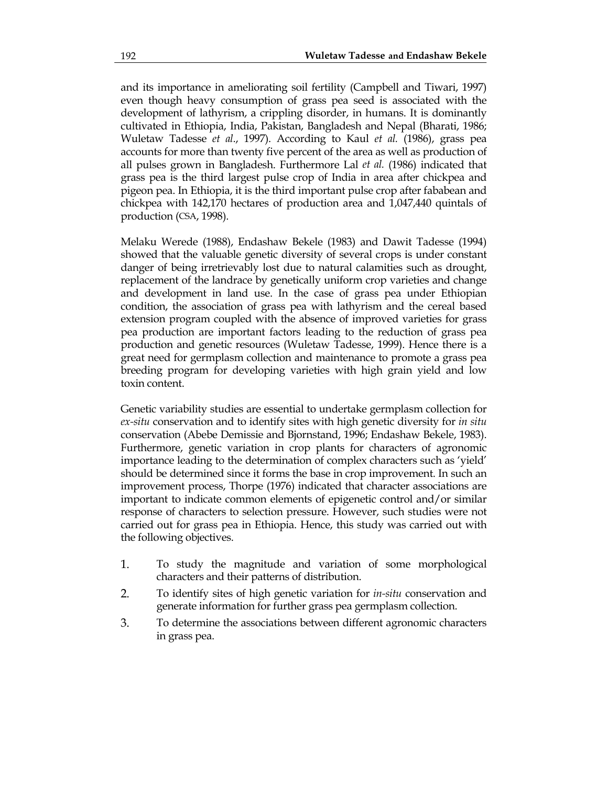and its importance in ameliorating soil fertility (Campbell and Tiwari, 1997) even though heavy consumption of grass pea seed is associated with the development of lathyrism, a crippling disorder, in humans. It is dominantly cultivated in Ethiopia, India, Pakistan, Bangladesh and Nepal (Bharati, 1986; Wuletaw Tadesse *et al*., 1997). According to Kaul *et al.* (1986), grass pea accounts for more than twenty five percent of the area as well as production of all pulses grown in Bangladesh. Furthermore Lal *et al.* (1986) indicated that grass pea is the third largest pulse crop of India in area after chickpea and pigeon pea. In Ethiopia, it is the third important pulse crop after fababean and chickpea with 142,170 hectares of production area and 1,047,440 quintals of production (CSA, 1998).

Melaku Werede (1988), Endashaw Bekele (1983) and Dawit Tadesse (1994) showed that the valuable genetic diversity of several crops is under constant danger of being irretrievably lost due to natural calamities such as drought, replacement of the landrace by genetically uniform crop varieties and change and development in land use. In the case of grass pea under Ethiopian condition, the association of grass pea with lathyrism and the cereal based extension program coupled with the absence of improved varieties for grass pea production are important factors leading to the reduction of grass pea production and genetic resources (Wuletaw Tadesse, 1999). Hence there is a great need for germplasm collection and maintenance to promote a grass pea breeding program for developing varieties with high grain yield and low toxin content.

Genetic variability studies are essential to undertake germplasm collection for *ex-situ* conservation and to identify sites with high genetic diversity for *in situ* conservation (Abebe Demissie and Bjornstand, 1996; Endashaw Bekele, 1983). Furthermore, genetic variation in crop plants for characters of agronomic importance leading to the determination of complex characters such as 'yield' should be determined since it forms the base in crop improvement. In such an improvement process, Thorpe (1976) indicated that character associations are important to indicate common elements of epigenetic control and/or similar response of characters to selection pressure. However, such studies were not carried out for grass pea in Ethiopia. Hence, this study was carried out with the following objectives.

- 1. To study the magnitude and variation of some morphological characters and their patterns of distribution.
- 2. To identify sites of high genetic variation for *in-situ* conservation and generate information for further grass pea germplasm collection.
- 3. To determine the associations between different agronomic characters in grass pea.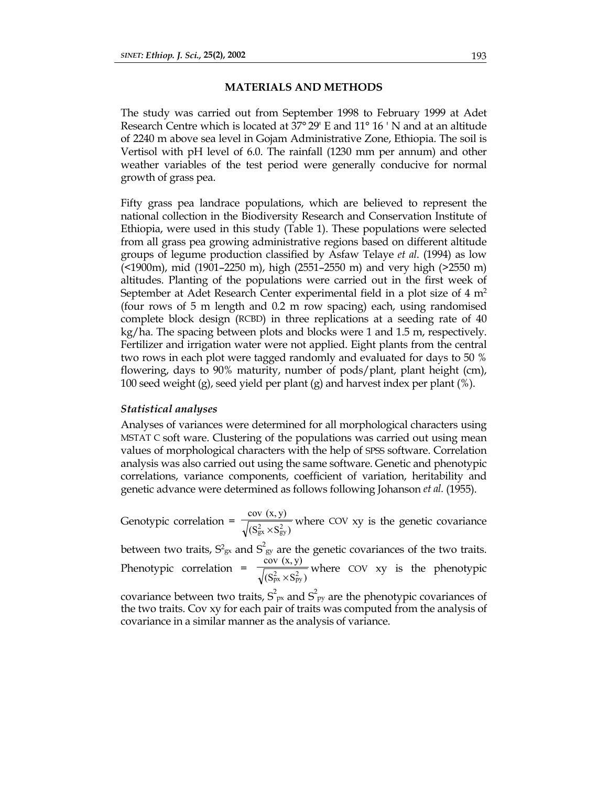### **MATERIALS AND METHODS**

The study was carried out from September 1998 to February 1999 at Adet Research Centre which is located at 37° 29' E and 11° 16 ' N and at an altitude of 2240 m above sea level in Gojam Administrative Zone, Ethiopia. The soil is Vertisol with pH level of 6.0. The rainfall (1230 mm per annum) and other weather variables of the test period were generally conducive for normal growth of grass pea.

Fifty grass pea landrace populations, which are believed to represent the national collection in the Biodiversity Research and Conservation Institute of Ethiopia, were used in this study (Table 1). These populations were selected from all grass pea growing administrative regions based on different altitude groups of legume production classified by Asfaw Telaye *et al*. (1994) as low (<1900m), mid (1901–2250 m), high (2551–2550 m) and very high (>2550 m) altitudes. Planting of the populations were carried out in the first week of September at Adet Research Center experimental field in a plot size of 4 m<sup>2</sup> (four rows of 5 m length and 0.2 m row spacing) each, using randomised complete block design (RCBD) in three replications at a seeding rate of 40 kg/ha. The spacing between plots and blocks were 1 and 1.5 m, respectively. Fertilizer and irrigation water were not applied. Eight plants from the central two rows in each plot were tagged randomly and evaluated for days to 50 % flowering, days to 90% maturity, number of pods/plant, plant height (cm), 100 seed weight (g), seed yield per plant (g) and harvest index per plant (%).

### *Statistical analyses*

Analyses of variances were determined for all morphological characters using MSTAT C soft ware. Clustering of the populations was carried out using mean values of morphological characters with the help of SPSS software. Correlation analysis was also carried out using the same software. Genetic and phenotypic correlations, variance components, coefficient of variation, heritability and genetic advance were determined as follows following Johanson *et al.* (1955).

Genotypic correlation =  $\frac{\sqrt{(S_{gx}^2 \times S_{gy}^2)}}{\sqrt{(S_{gx}^2 \times S_{gy}^2)}}$  $cov(x, y)$  $_{\rm gx}^2 \times S_{\rm gy}^2$ where COV xy is the genetic covariance

between two traits,  $S^2_{\text{gx}}$  and  $S^2_{\text{gy}}$  are the genetic covariances of the two traits. Phenotypic correlation =  $\frac{S}{\sqrt{(S_{px}^2 \times S_{py}^2)}}$  $cov(x, y)$  $_{px}^{2} \times S_{py}^{2}$ where COV xy is the phenotypic

covariance between two traits,  $S^2_{px}$  and  $S^2_{py}$  are the phenotypic covariances of the two traits. Cov xy for each pair of traits was computed from the analysis of covariance in a similar manner as the analysis of variance.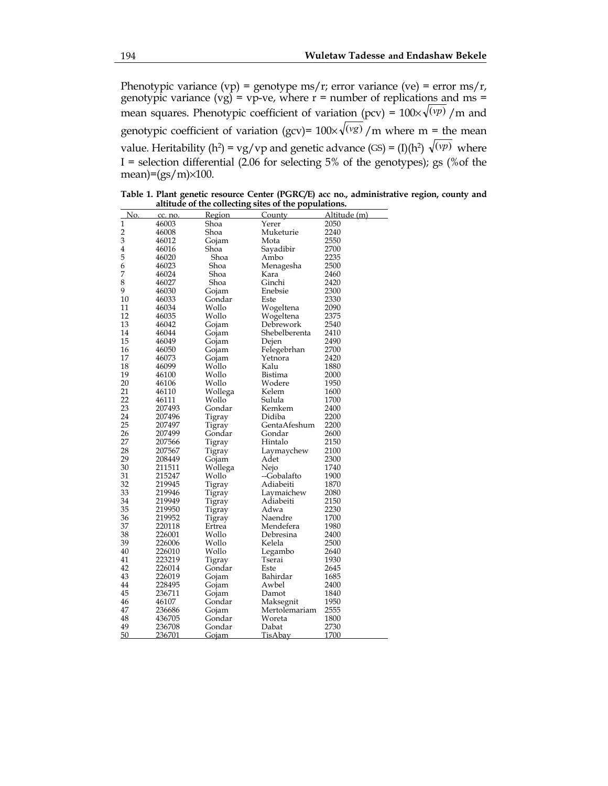Phenotypic variance (vp) = genotype ms/r; error variance (ve) = error ms/r, genotypic variance  $(vg) = vp-ve$ , where  $r = number$  of replications and  $ms =$ mean squares. Phenotypic coefficient of variation (pcv) =  $100 \times \sqrt{(vp)}$  /m and genotypic coefficient of variation (gcv)=  $100 \times \sqrt{(vg)}$  /m where m = the mean value. Heritability (h<sup>2</sup>) = vg/vp and genetic advance (GS) = (I)(h<sup>2</sup>)  $\sqrt{(vp)}$  where I = selection differential (2.06 for selecting 5% of the genotypes); gs (%of the mean)= $(gs/m) \times 100$ .

| No.            | cc. no. | Region  | County        | Altitude (m) |
|----------------|---------|---------|---------------|--------------|
| $\mathbf{1}$   | 46003   | Shoa    | Yerer         | 2050         |
| $\overline{c}$ | 46008   | Shoa    | Muketurie     | 2240         |
| 3              | 46012   | Gojam   | Mota          | 2550         |
| $\overline{4}$ | 46016   | Shoa    | Sayadibir     | 2700         |
| 5              | 46020   | Shoa    | Ambo          | 2235         |
| 6              | 46023   | Shoa    | Menagesha     | 2500         |
| 7              | 46024   | Shoa    | Kara          | 2460         |
| 8              | 46027   | Shoa    | Ginchi        | 2420         |
| 9              | 46030   | Gojam   | Enebsie       | 2300         |
| 10             | 46033   | Gondar  | Este          | 2330         |
| 11             | 46034   | Wollo   | Wogeltena     | 2090         |
| 12             | 46035   | Wollo   | Wogeltena     | 2375         |
| 13             | 46042   | Gojam   | Debrework     | 2540         |
| 14             | 46044   | Gojam   | Shebelberenta | 2410         |
| 15             | 46049   | Gojam   | Dejen         | 2490         |
| 16             | 46050   | Gojam   | Felegebrhan   | 2700         |
| 17             | 46073   | Gojam   | Yetnora       | 2420         |
| 18             | 46099   | Wollo   | Kalu          | 1880         |
| 19             | 46100   | Wollo   | Bistima       | 2000         |
| 20             | 46106   | Wollo   | Wodere        | 1950         |
| 21             | 46110   | Wollega | Kelem         | 1600         |
| 22             | 46111   | Wollo   | Sulula        | 1700         |
| 23             | 207493  | Gondar  | Kemkem        | 2400         |
| 24             | 207496  | Tigray  | Didiba        | 2200         |
| 25             | 207497  | Tigray  | GentaAfeshum  | 2200         |
| 26             | 207499  | Gondar  | Gondar        | 2600         |
| 27             | 207566  | Tigray  | Hintalo       | 2150         |
| 28             | 207567  | Tigray  | Laymaychew    | 2100         |
| 29             | 208449  | Gojam   | Adet          | 2300         |
| 30             | 211511  | Wollega | Nejo          | 1740         |
| 31             | 215247  | Wollo   | --Gobalafto   | 1900         |
| 32             | 219945  | Tigray  | Adiabeiti     | 1870         |
| 33             | 219946  | Tigray  | Laymaichew    | 2080         |
| 34             | 219949  | Tigray  | Adiabeiti     | 2150         |
| 35             | 219950  | Tigray  | Adwa          | 2230         |
| 36             | 219952  | Tigray  | Naendre       | 1700         |
| 37             | 220118  | Ertrea  | Mendefera     | 1980         |
| 38             | 226001  | Wollo   | Debresina     | 2400         |
| 39             | 226006  | Wollo   | Kelela        | 2500         |
| 40             | 226010  | Wollo   | Legambo       | 2640         |
| 41             | 223219  | Tigray  | Tserai        | 1930         |
| 42             | 226014  | Gondar  | Este          | 2645         |
| 43             | 226019  | Gojam   | Bahirdar      | 1685         |
| 44             | 228495  | Gojam   | Awbel         | 2400         |
| 45             | 236711  | Gojam   | Damot         | 1840         |
| 46             | 46107   | Gondar  | Maksegnit     | 1950         |
| 47             | 236686  | Gojam   | Mertolemariam | 2555         |
| 48             | 436705  | Gondar  | Woreta        | 1800         |
| 49             | 236708  | Gondar  | Dabat         | 2730         |
| 50             | 236701  | Gojam   | TisAbav       | 1700         |
|                |         |         |               |              |

236701 Gojam TisAbay 1700

**Table 1. Plant genetic resource Center (PGRC/E) acc no., administrative region, county and altitude of the collecting sites of the populations.**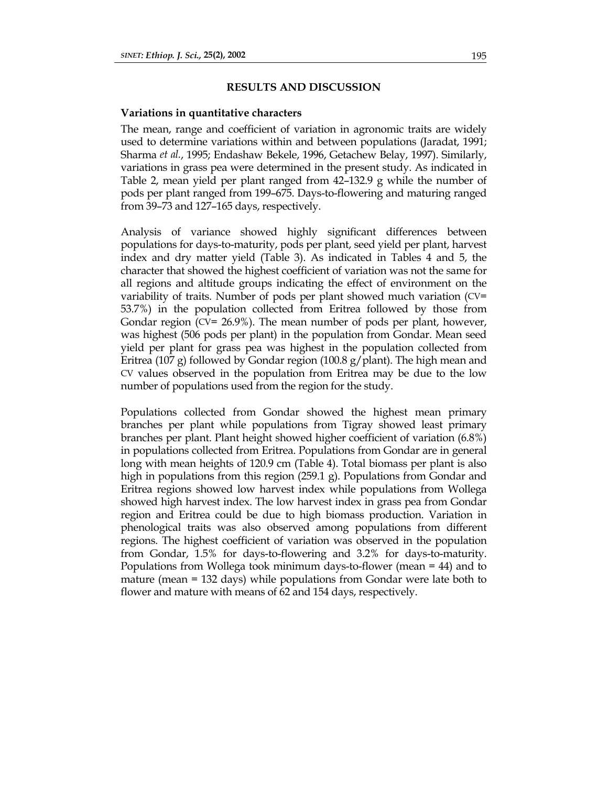#### **RESULTS AND DISCUSSION**

#### **Variations in quantitative characters**

The mean, range and coefficient of variation in agronomic traits are widely used to determine variations within and between populations (Jaradat, 1991; Sharma *et al.*, 1995; Endashaw Bekele, 1996, Getachew Belay, 1997). Similarly, variations in grass pea were determined in the present study. As indicated in Table 2, mean yield per plant ranged from 42–132.9 g while the number of pods per plant ranged from 199–675. Days-to-flowering and maturing ranged from 39–73 and 127–165 days, respectively.

Analysis of variance showed highly significant differences between populations for days-to-maturity, pods per plant, seed yield per plant, harvest index and dry matter yield (Table 3). As indicated in Tables 4 and 5, the character that showed the highest coefficient of variation was not the same for all regions and altitude groups indicating the effect of environment on the variability of traits. Number of pods per plant showed much variation (CV= 53.7%) in the population collected from Eritrea followed by those from Gondar region (CV= 26.9%). The mean number of pods per plant, however, was highest (506 pods per plant) in the population from Gondar. Mean seed yield per plant for grass pea was highest in the population collected from Eritrea (107 g) followed by Gondar region (100.8 g/plant). The high mean and CV values observed in the population from Eritrea may be due to the low number of populations used from the region for the study.

Populations collected from Gondar showed the highest mean primary branches per plant while populations from Tigray showed least primary branches per plant. Plant height showed higher coefficient of variation (6.8%) in populations collected from Eritrea. Populations from Gondar are in general long with mean heights of 120.9 cm (Table 4). Total biomass per plant is also high in populations from this region (259.1 g). Populations from Gondar and Eritrea regions showed low harvest index while populations from Wollega showed high harvest index. The low harvest index in grass pea from Gondar region and Eritrea could be due to high biomass production. Variation in phenological traits was also observed among populations from different regions. The highest coefficient of variation was observed in the population from Gondar, 1.5% for days-to-flowering and 3.2% for days-to-maturity. Populations from Wollega took minimum days-to-flower (mean = 44) and to mature (mean = 132 days) while populations from Gondar were late both to flower and mature with means of 62 and 154 days, respectively.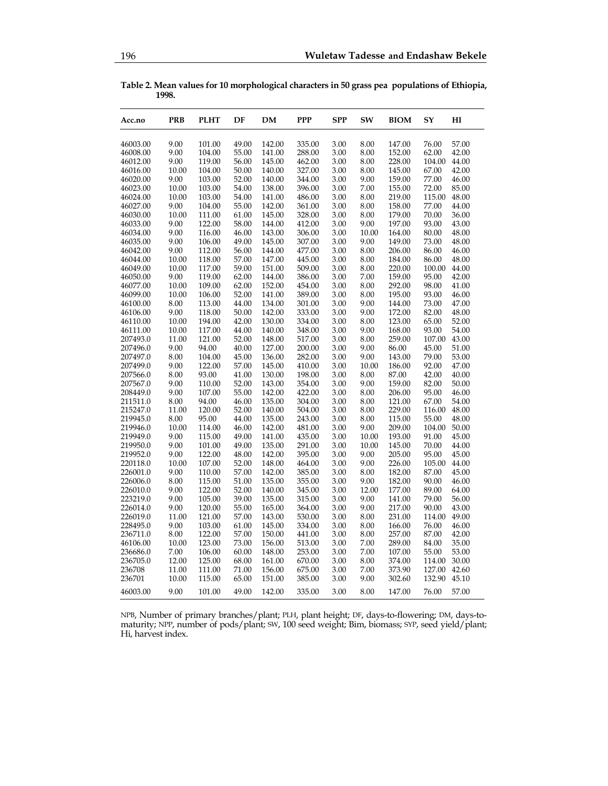**Table 2. Mean values for 10 morphological characters in 50 grass pea populations of Ethiopia, 1998.** 

| Acc.no   | <b>PRB</b> | <b>PLHT</b> | DF    | <b>DM</b> | <b>PPP</b> | <b>SPP</b> | SW    | <b>BIOM</b> | SY     | HI    |
|----------|------------|-------------|-------|-----------|------------|------------|-------|-------------|--------|-------|
| 46003.00 | 9.00       | 101.00      | 49.00 | 142.00    | 335.00     | 3.00       | 8.00  | 147.00      | 76.00  | 57.00 |
| 46008.00 | 9.00       | 104.00      | 55.00 | 141.00    | 288.00     | 3.00       | 8.00  | 152.00      | 62.00  | 42.00 |
| 46012.00 | 9.00       | 119.00      | 56.00 | 145.00    | 462.00     | 3.00       | 8.00  | 228.00      | 104.00 | 44.00 |
| 46016.00 | 10.00      | 104.00      | 50.00 | 140.00    | 327.00     | 3.00       | 8.00  | 145.00      | 67.00  | 42.00 |
| 46020.00 | 9.00       | 103.00      | 52.00 | 140.00    | 344.00     | 3.00       | 9.00  | 159.00      | 77.00  | 46.00 |
| 46023.00 | 10.00      | 103.00      | 54.00 | 138.00    | 396.00     | 3.00       | 7.00  | 155.00      | 72.00  | 85.00 |
| 46024.00 | 10.00      | 103.00      | 54.00 | 141.00    | 486.00     | 3.00       | 8.00  | 219.00      | 115.00 | 48.00 |
| 46027.00 | 9.00       | 104.00      | 55.00 | 142.00    | 361.00     | 3.00       | 8.00  | 158.00      | 77.00  | 44.00 |
|          | 10.00      | 111.00      | 61.00 | 145.00    | 328.00     | 3.00       | 8.00  | 179.00      | 70.00  | 36.00 |
| 46030.00 |            |             |       |           |            |            |       |             |        |       |
| 46033.00 | 9.00       | 122.00      | 58.00 | 144.00    | 412.00     | 3.00       | 9.00  | 197.00      | 93.00  | 43.00 |
| 46034.00 | 9.00       | 116.00      | 46.00 | 143.00    | 306.00     | 3.00       | 10.00 | 164.00      | 80.00  | 48.00 |
| 46035.00 | 9.00       | 106.00      | 49.00 | 145.00    | 307.00     | 3.00       | 9.00  | 149.00      | 73.00  | 48.00 |
| 46042.00 | 9.00       | 112.00      | 56.00 | 144.00    | 477.00     | 3.00       | 8.00  | 206.00      | 86.00  | 46.00 |
| 46044.00 | 10.00      | 118.00      | 57.00 | 147.00    | 445.00     | 3.00       | 8.00  | 184.00      | 86.00  | 48.00 |
| 46049.00 | 10.00      | 117.00      | 59.00 | 151.00    | 509.00     | 3.00       | 8.00  | 220.00      | 100.00 | 44.00 |
| 46050.00 | 9.00       | 119.00      | 62.00 | 144.00    | 386.00     | 3.00       | 7.00  | 159.00      | 95.00  | 42.00 |
| 46077.00 | 10.00      | 109.00      | 62.00 | 152.00    | 454.00     | 3.00       | 8.00  | 292.00      | 98.00  | 41.00 |
| 46099.00 | 10.00      | 106.00      | 52.00 | 141.00    | 389.00     | 3.00       | 8.00  | 195.00      | 93.00  | 46.00 |
| 46100.00 | 8.00       | 113.00      | 44.00 | 134.00    | 301.00     | 3.00       | 9.00  | 144.00      | 73.00  | 47.00 |
| 46106.00 | 9.00       | 118.00      | 50.00 | 142.00    | 333.00     | 3.00       | 9.00  | 172.00      | 82.00  | 48.00 |
| 46110.00 | 10.00      | 194.00      | 42.00 | 130.00    | 334.00     | 3.00       | 8.00  | 123.00      | 65.00  | 52.00 |
| 46111.00 | 10.00      | 117.00      | 44.00 | 140.00    | 348.00     | 3.00       | 9.00  | 168.00      | 93.00  | 54.00 |
| 207493.0 | 11.00      | 121.00      | 52.00 | 148.00    | 517.00     | 3.00       | 8.00  | 259.00      | 107.00 | 43.00 |
| 207496.0 | 9.00       | 94.00       | 40.00 | 127.00    | 200.00     | 3.00       | 9.00  | 86.00       | 45.00  | 51.00 |
| 207497.0 | 8.00       | 104.00      | 45.00 | 136.00    | 282.00     | 3.00       | 9.00  | 143.00      | 79.00  | 53.00 |
| 207499.0 | 9.00       | 122.00      | 57.00 | 145.00    | 410.00     | 3.00       | 10.00 | 186.00      | 92.00  | 47.00 |
| 207566.0 | 8.00       | 93.00       | 41.00 | 130.00    | 198.00     | 3.00       | 8.00  | 87.00       | 42.00  | 40.00 |
| 207567.0 | 9.00       | 110.00      | 52.00 | 143.00    | 354.00     | 3.00       | 9.00  | 159.00      | 82.00  | 50.00 |
| 208449.0 | 9.00       | 107.00      | 55.00 | 142.00    | 422.00     | 3.00       | 8.00  | 206.00      | 95.00  | 46.00 |
| 211511.0 | 8.00       | 94.00       | 46.00 | 135.00    | 304.00     | 3.00       | 8.00  | 121.00      | 67.00  | 54.00 |
| 215247.0 | 11.00      | 120.00      | 52.00 | 140.00    | 504.00     | 3.00       | 8.00  | 229.00      | 116.00 | 48.00 |
| 219945.0 | 8.00       | 95.00       | 44.00 | 135.00    | 243.00     | 3.00       | 8.00  | 115.00      | 55.00  | 48.00 |
| 219946.0 | 10.00      | 114.00      | 46.00 | 142.00    | 481.00     | 3.00       | 9.00  | 209.00      | 104.00 | 50.00 |
| 219949.0 | 9.00       | 115.00      | 49.00 | 141.00    | 435.00     | 3.00       | 10.00 | 193.00      | 91.00  | 45.00 |
| 219950.0 | 9.00       | 101.00      | 49.00 | 135.00    | 291.00     | 3.00       | 10.00 | 145.00      | 70.00  | 44.00 |
| 219952.0 | 9.00       | 122.00      | 48.00 | 142.00    | 395.00     | 3.00       | 9.00  | 205.00      | 95.00  | 45.00 |
| 220118.0 | 10.00      | 107.00      | 52.00 | 148.00    | 464.00     | 3.00       | 9.00  | 226.00      | 105.00 | 44.00 |
| 226001.0 | 9.00       | 110.00      | 57.00 | 142.00    | 385.00     | 3.00       | 8.00  | 182.00      | 87.00  | 45.00 |
| 226006.0 | 8.00       | 115.00      | 51.00 | 135.00    | 355.00     | 3.00       | 9.00  | 182.00      | 90.00  | 46.00 |
| 226010.0 | 9.00       | 122.00      | 52.00 | 140.00    | 345.00     | 3.00       | 12.00 | 177.00      | 89.00  | 64.00 |
| 223219.0 | 9.00       | 105.00      | 39.00 | 135.00    | 315.00     | 3.00       | 9.00  | 141.00      | 79.00  | 56.00 |
| 226014.0 | 9.00       | 120.00      | 55.00 | 165.00    | 364.00     | 3.00       | 9.00  | 217.00      | 90.00  | 43.00 |
| 226019.0 | 11.00      | 121.00      | 57.00 | 143.00    | 530.00     | 3.00       | 8.00  | 231.00      | 114.00 | 49.00 |
| 228495.0 | 9.00       | 103.00      | 61.00 | 145.00    | 334.00     | 3.00       | 8.00  | 166.00      | 76.00  | 46.00 |
| 236711.0 | 8.00       | 122.00      | 57.00 | 150.00    | 441.00     | 3.00       | 8.00  | 257.00      | 87.00  | 42.00 |
| 46106.00 | 10.00      | 123.00      | 73.00 | 156.00    | 513.00     | 3.00       | 7.00  | 289.00      | 84.00  | 35.00 |
| 236686.0 | 7.00       | 106.00      | 60.00 | 148.00    | 253.00     | 3.00       | 7.00  | 107.00      | 55.00  | 53.00 |
| 236705.0 | 12.00      | 125.00      | 68.00 | 161.00    | 670.00     | 3.00       | 8.00  | 374.00      | 114.00 | 30.00 |
| 236708   | 11.00      | 111.00      | 71.00 | 156.00    | 675.00     | 3.00       | 7.00  | 373.90      | 127.00 | 42.60 |
| 236701   | 10.00      | 115.00      | 65.00 | 151.00    | 385.00     | 3.00       | 9.00  | 302.60      | 132.90 | 45.10 |
| 46003.00 | 9.00       | 101.00      | 49.00 | 142.00    | 335.00     | 3.00       | 8.00  | 147.00      | 76.00  | 57.00 |

NPB, Number of primary branches/plant; PLH, plant height; DF, days-to-flowering; DM, days-tomaturity; NPP, number of pods/plant; SW, 100 seed weight; Bim, biomass; SYP, seed yield/plant; Hi, harvest index.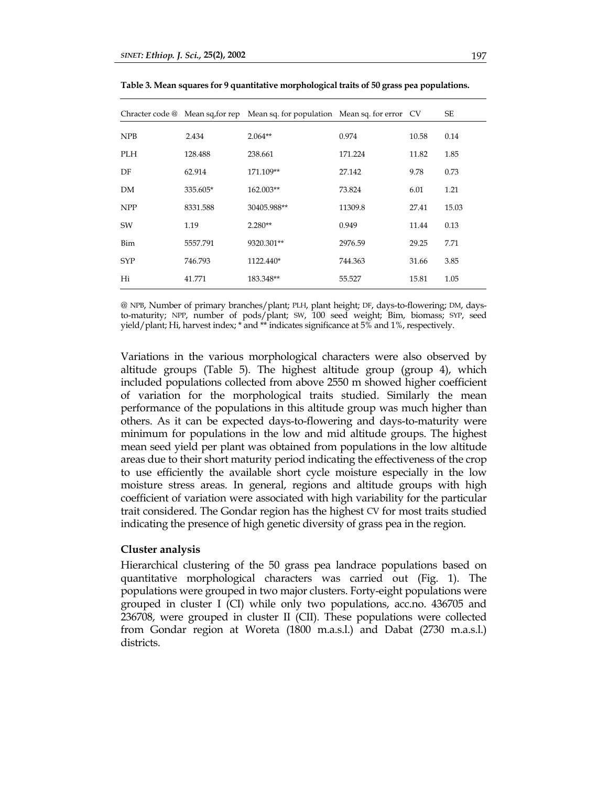|            |          | Chracter code @ Mean sq, for rep Mean sq. for population Mean sq. for error CV |         |       | SE    |
|------------|----------|--------------------------------------------------------------------------------|---------|-------|-------|
| <b>NPB</b> | 2.434    | $2.064**$                                                                      | 0.974   | 10.58 | 0.14  |
| <b>PLH</b> | 128.488  | 238.661                                                                        | 171.224 | 11.82 | 1.85  |
| DF         | 62.914   | 171.109**                                                                      | 27.142  | 9.78  | 0.73  |
| DM         | 335.605* | 162.003**                                                                      | 73.824  | 6.01  | 1.21  |
| <b>NPP</b> | 8331.588 | 30405.988**                                                                    | 11309.8 | 27.41 | 15.03 |
| SW         | 1.19     | $2.280**$                                                                      | 0.949   | 11.44 | 0.13  |
| Bim        | 5557.791 | 9320.301**                                                                     | 2976.59 | 29.25 | 7.71  |
| <b>SYP</b> | 746.793  | 1122.440*                                                                      | 744.363 | 31.66 | 3.85  |
| Hi         | 41.771   | 183.348**                                                                      | 55.527  | 15.81 | 1.05  |

**Table 3. Mean squares for 9 quantitative morphological traits of 50 grass pea populations.** 

@ NPB, Number of primary branches/plant; PLH, plant height; DF, days-to-flowering; DM, daysto-maturity; NPP, number of pods/plant; SW, 100 seed weight; Bim, biomass; SYP, seed yield/plant; Hi, harvest index; \* and \*\* indicates significance at 5% and 1%, respectively.

Variations in the various morphological characters were also observed by altitude groups (Table 5). The highest altitude group (group 4), which included populations collected from above 2550 m showed higher coefficient of variation for the morphological traits studied. Similarly the mean performance of the populations in this altitude group was much higher than others. As it can be expected days-to-flowering and days-to-maturity were minimum for populations in the low and mid altitude groups. The highest mean seed yield per plant was obtained from populations in the low altitude areas due to their short maturity period indicating the effectiveness of the crop to use efficiently the available short cycle moisture especially in the low moisture stress areas. In general, regions and altitude groups with high coefficient of variation were associated with high variability for the particular trait considered. The Gondar region has the highest CV for most traits studied indicating the presence of high genetic diversity of grass pea in the region.

#### **Cluster analysis**

Hierarchical clustering of the 50 grass pea landrace populations based on quantitative morphological characters was carried out (Fig. 1). The populations were grouped in two major clusters. Forty-eight populations were grouped in cluster I (CI) while only two populations, acc.no. 436705 and 236708, were grouped in cluster II (CII). These populations were collected from Gondar region at Woreta (1800 m.a.s.l.) and Dabat (2730 m.a.s.l.) districts.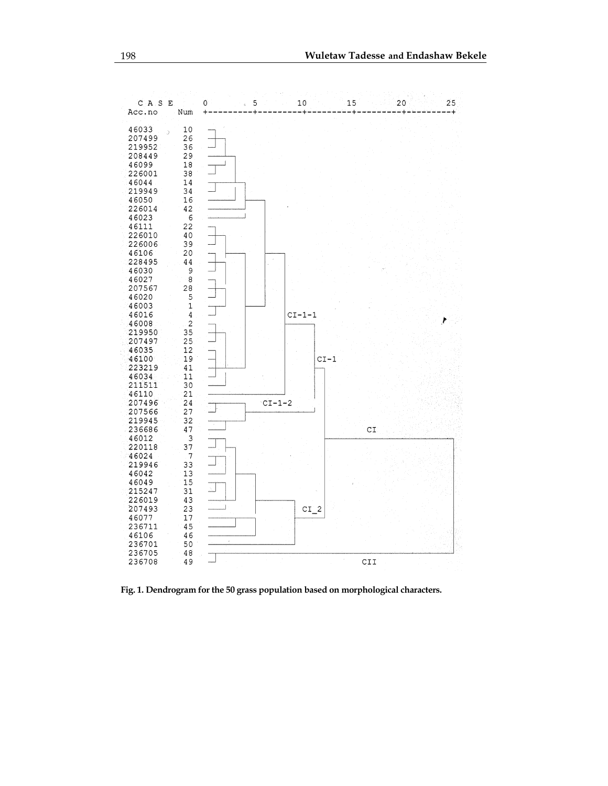

**Fig. 1. Dendrogram for the 50 grass population based on morphological characters.**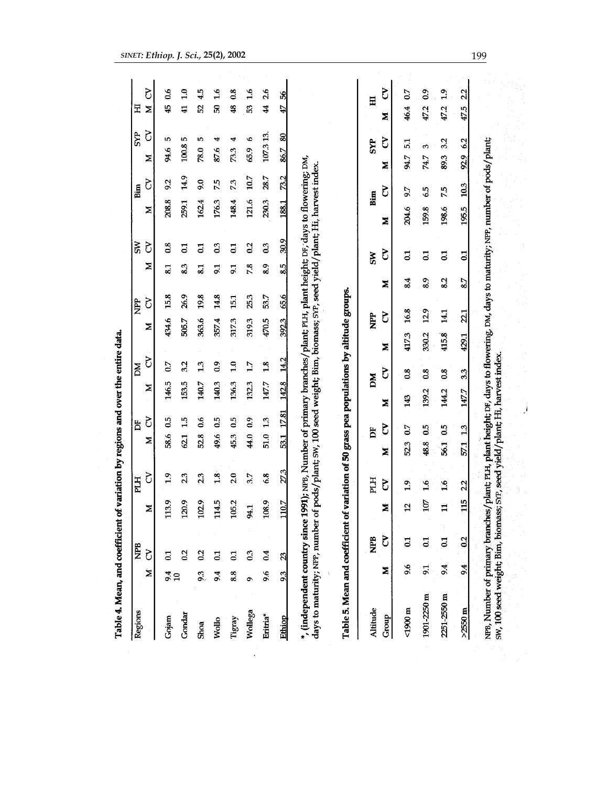| Regions     | Ż                      | ট              | ≿              | ð              | ≍    | ৈ     | ≍     | ð                | Z     | ৈ               | Z                                    | S               | z     | δ    | ৈ<br>≍           | Ś<br>Z                          |
|-------------|------------------------|----------------|----------------|----------------|------|-------|-------|------------------|-------|-----------------|--------------------------------------|-----------------|-------|------|------------------|---------------------------------|
|             |                        |                |                |                |      |       |       |                  |       |                 |                                      |                 |       |      |                  |                                 |
| Gojam       | 9.4<br>$\overline{10}$ | $\overline{a}$ | 113.9          | $\frac{9}{10}$ | 58.6 | 0.5   | 146.5 | $\overline{0}$   | 434.6 | 15.8            | 81                                   | $\frac{8}{2}$   | 208.8 | 92   | ю<br>94.6        | 66<br>$\frac{15}{4}$            |
| Gondar      |                        | $\overline{0}$ | 120.9          | 23             | 621  | 1.5   | 153.5 | 3.2              | 505.7 | 26.9            | 8.3                                  | $\overline{c}$  | 259.1 | 14.9 | 5<br>100.8       | $\frac{0}{1}$<br>$\overline{4}$ |
| Shoa        | 93                     | $\frac{2}{3}$  | 102.9          | 23             | 52.8 | 0.6   | 140.7 | 13               | 363.6 | 19.8            | $\overline{\mathbf{8}}$ <sub>1</sub> | $\overline{c}$  | 162.4 | 9.0  | Ю<br>78.0        | 4.5<br>S.                       |
| Wollo       | 9.4                    | $\overline{c}$ | 114.5          | $\frac{8}{10}$ | 49.6 | 0.5   | 140.3 | $\overline{0}$   | 357.4 | 14.8            | $\overline{9}$                       | 0.3             | 176.3 | 7.5  | ₩<br>87.6        | $\frac{6}{1}$<br>ន              |
| Tigray      | 8.8                    | ដ              | 105.2          | 2.0            | 45.3 | 0.5   | 136.3 | $\overline{10}$  | 317.3 | 15.1            | $\overline{9}$                       | $\overline{c}$  | 148.4 | 73   | 4<br>73.3        | $\frac{8}{3}$<br>48             |
| Wollega     | ۰                      | $_{03}$        | 94.1           | 3.7            | 44.0 | 0.9   | 1323  | 17               | 319.3 | 25.3            | 7.8                                  | 0.2             | 121.6 | 10.7 | c<br>65.9        | $\frac{6}{10}$<br>S,            |
| Eritria*    | 9.6                    | 0.4            | 108.9          | 6.8            | 51.0 | 13    | 147.7 | 1.8              | 470.5 | 53.7            | 8.9                                  | 0.3             | 290.3 | 28.7 | 107.313          | 26<br>$\ddot{\bm{r}}$           |
| Ethiop      | 93                     | g              | 110.7          | 27.3           | 53.1 | 17.81 | 142.8 | 14.2             | 3923  | 65.6            | 8.5                                  | <b>30.9</b>     | 188.1 | 73.2 | 80<br>86.7       | ß,<br>47                        |
| Altitude    |                        | <b>NPB</b>     |                | PLH            |      | Ë     | MQ    |                  | È     |                 |                                      | SM <sub>3</sub> |       | Bim  | 5 <sub>2</sub>   | 모                               |
| Group       | Z                      | ৈ              | Ż              | Š              | Σ    | ð     | ×     | Σ<br>Ś           |       | S               | Σ                                    | ð               | Σ     | Š    | ξ<br>z           | Š<br>Σ                          |
| 4900 m      | 9.6                    | $\overline{c}$ | $\overline{a}$ | $\ddot{1}$     | 523  | 0.7   | 143   | $\overline{0.8}$ | 417.3 | 16.8            | 8.4                                  | $\overline{c}$  | 204.6 | 9.7  | 5.1<br>94.7      | $\overline{0}$<br>46.4          |
| 1901-2250 m | $\overline{5}$         | $\overline{c}$ | 107            | $\frac{6}{1}$  | 48.8 | 0.5   | 139.2 | $\overline{0.8}$ | 330.2 | 129             | 8.9                                  | $\overline{c}$  | 159.8 | 6.5  | $\omega$<br>74.7 | $\overline{0.9}$<br>472         |
| 2251-2550 m | 9.4                    | $\overline{0}$ | Ħ              | $\frac{6}{10}$ | 56.1 | C5    | 144.2 | $\frac{8}{3}$    | 415.8 | $\frac{141}{1}$ | 8.2                                  | $\overline{5}$  | 198.6 | 7.5  | 3.2<br>89.3      | $\ddot{1}$<br>47.2              |
| $>2550$ m   | 9.4                    | 0.2            | 115            | 22             | 57.1 | 13    | 147.7 | 3.3              | 429.1 | 21              | 8.7                                  | $\overline{c}$  | 195.5 | 10.3 | 62<br>92.9       | 2.2<br>47.5                     |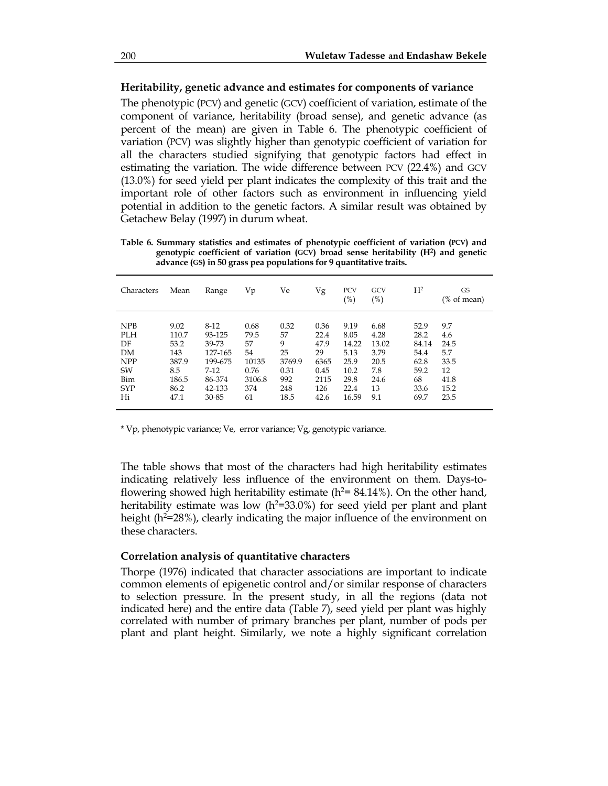### **Heritability, genetic advance and estimates for components of variance**

The phenotypic (PCV) and genetic (GCV) coefficient of variation, estimate of the component of variance, heritability (broad sense), and genetic advance (as percent of the mean) are given in Table 6. The phenotypic coefficient of variation (PCV) was slightly higher than genotypic coefficient of variation for all the characters studied signifying that genotypic factors had effect in estimating the variation. The wide difference between PCV (22.4%) and GCV (13.0%) for seed yield per plant indicates the complexity of this trait and the important role of other factors such as environment in influencing yield potential in addition to the genetic factors. A similar result was obtained by Getachew Belay (1997) in durum wheat.

**Table 6. Summary statistics and estimates of phenotypic coefficient of variation (PCV) and genotypic coefficient of variation (GCV) broad sense heritability (H2) and genetic advance (GS) in 50 grass pea populations for 9 quantitative traits.** 

| Characters | Mean  | Range   | Vр     | Ve     | Vg   | PCV<br>(%) | GCV<br>$(\%)$ | H <sup>2</sup> | <b>GS</b><br>(% of mean) |
|------------|-------|---------|--------|--------|------|------------|---------------|----------------|--------------------------|
| <b>NPB</b> | 9.02  | $8-12$  | 0.68   | 0.32   | 0.36 | 9.19       | 6.68          | 52.9           | 9.7                      |
| <b>PLH</b> | 110.7 | 93-125  | 79.5   | 57     | 22.4 | 8.05       | 4.28          | 28.2           | 4.6                      |
| DF         | 53.2  | 39-73   | 57     | 9      | 47.9 | 14.22      | 13.02         | 84.14          | 24.5                     |
| DM         | 143   | 127-165 | 54     | 25     | 29   | 5.13       | 3.79          | 54.4           | 5.7                      |
| <b>NPP</b> | 387.9 | 199-675 | 10135  | 3769.9 | 6365 | 25.9       | 20.5          | 62.8           | 33.5                     |
| SW         | 8.5   | $7-12$  | 0.76   | 0.31   | 0.45 | 10.2       | 7.8           | 59.2           | 12                       |
| Bim        | 186.5 | 86-374  | 3106.8 | 992    | 2115 | 29.8       | 24.6          | 68             | 41.8                     |
| <b>SYP</b> | 86.2  | 42-133  | 374    | 248    | 126  | 22.4       | 13            | 33.6           | 15.2                     |
| Hi         | 47.1  | 30-85   | 61     | 18.5   | 42.6 | 16.59      | 9.1           | 69.7           | 23.5                     |

\* Vp, phenotypic variance; Ve, error variance; Vg, genotypic variance.

The table shows that most of the characters had high heritability estimates indicating relatively less influence of the environment on them. Days-toflowering showed high heritability estimate ( $h^2$ = 84.14%). On the other hand, heritability estimate was low (h<sup>2=33.0%</sup>) for seed yield per plant and plant height (h<sup>2=28%</sup>), clearly indicating the major influence of the environment on these characters.

# **Correlation analysis of quantitative characters**

Thorpe (1976) indicated that character associations are important to indicate common elements of epigenetic control and/or similar response of characters to selection pressure. In the present study, in all the regions (data not indicated here) and the entire data (Table 7), seed yield per plant was highly correlated with number of primary branches per plant, number of pods per plant and plant height. Similarly, we note a highly significant correlation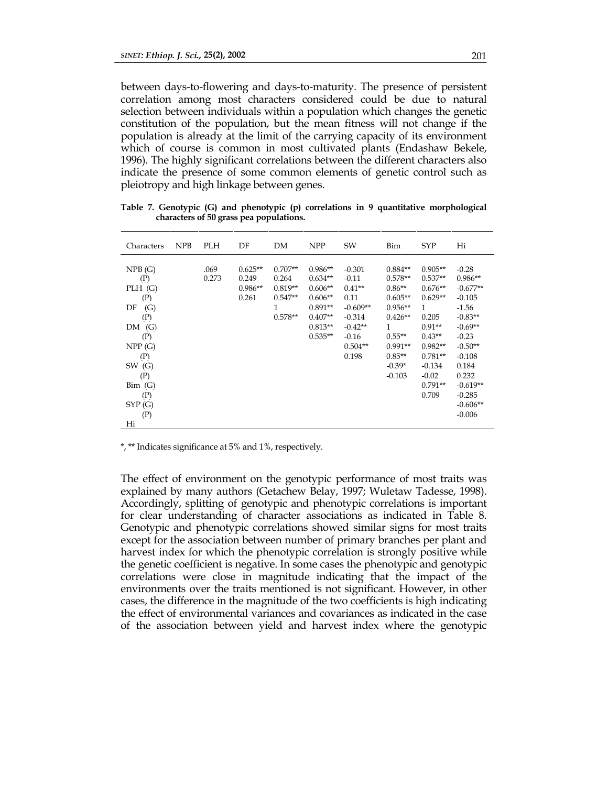between days-to-flowering and days-to-maturity. The presence of persistent correlation among most characters considered could be due to natural selection between individuals within a population which changes the genetic constitution of the population, but the mean fitness will not change if the population is already at the limit of the carrying capacity of its environment which of course is common in most cultivated plants (Endashaw Bekele, 1996). The highly significant correlations between the different characters also indicate the presence of some common elements of genetic control such as pleiotropy and high linkage between genes.

| Characters                                                                                                                                          | <b>NPB</b> | <b>PLH</b>    | DF                                       | DM                                                              | <b>NPP</b>                                                                                           | SW                                                                                                              | Bim                                                                                                                                          | <b>SYP</b>                                                                                                                                                               | Hi                                                                                                                                                                                            |
|-----------------------------------------------------------------------------------------------------------------------------------------------------|------------|---------------|------------------------------------------|-----------------------------------------------------------------|------------------------------------------------------------------------------------------------------|-----------------------------------------------------------------------------------------------------------------|----------------------------------------------------------------------------------------------------------------------------------------------|--------------------------------------------------------------------------------------------------------------------------------------------------------------------------|-----------------------------------------------------------------------------------------------------------------------------------------------------------------------------------------------|
| NPB(G)<br>(P)<br>PLH(G)<br>(P)<br>(G)<br>DF<br>(P)<br>(G)<br>DM<br>(P)<br>NPP(G)<br>(P)<br>(G)<br>SW<br>(P)<br>Bim(G)<br>(P)<br>SYP(G)<br>(P)<br>Hi |            | .069<br>0.273 | $0.625**$<br>0.249<br>$0.986**$<br>0.261 | $0.707**$<br>0.264<br>$0.819**$<br>$0.547**$<br>1.<br>$0.578**$ | $0.986**$<br>$0.634**$<br>$0.606**$<br>$0.606**$<br>$0.891**$<br>$0.407**$<br>$0.813**$<br>$0.535**$ | $-0.301$<br>$-0.11$<br>$0.41**$<br>0.11<br>$-0.609**$<br>$-0.314$<br>$-0.42**$<br>$-0.16$<br>$0.504**$<br>0.198 | $0.884**$<br>$0.578**$<br>$0.86**$<br>$0.605**$<br>$0.956**$<br>$0.426**$<br>1<br>$0.55***$<br>$0.991**$<br>$0.85**$<br>$-0.39*$<br>$-0.103$ | $0.905**$<br>$0.537**$<br>$0.676**$<br>$0.629**$<br>$\mathbf{1}$<br>0.205<br>$0.91**$<br>$0.43**$<br>$0.982**$<br>$0.781**$<br>$-0.134$<br>$-0.02$<br>$0.791**$<br>0.709 | $-0.28$<br>$0.986**$<br>$-0.677**$<br>$-0.105$<br>$-1.56$<br>$-0.83**$<br>$-0.69**$<br>$-0.23$<br>$-0.50**$<br>$-0.108$<br>0.184<br>0.232<br>$-0.619**$<br>$-0.285$<br>$-0.606**$<br>$-0.006$ |
|                                                                                                                                                     |            |               |                                          |                                                                 |                                                                                                      |                                                                                                                 |                                                                                                                                              |                                                                                                                                                                          |                                                                                                                                                                                               |

**Table 7. Genotypic (G) and phenotypic (p) correlations in 9 quantitative morphological characters of 50 grass pea populations.** 

\*, \*\* Indicates significance at 5% and 1%, respectively.

The effect of environment on the genotypic performance of most traits was explained by many authors (Getachew Belay, 1997; Wuletaw Tadesse, 1998). Accordingly, splitting of genotypic and phenotypic correlations is important for clear understanding of character associations as indicated in Table 8. Genotypic and phenotypic correlations showed similar signs for most traits except for the association between number of primary branches per plant and harvest index for which the phenotypic correlation is strongly positive while the genetic coefficient is negative. In some cases the phenotypic and genotypic correlations were close in magnitude indicating that the impact of the environments over the traits mentioned is not significant. However, in other cases, the difference in the magnitude of the two coefficients is high indicating the effect of environmental variances and covariances as indicated in the case of the association between yield and harvest index where the genotypic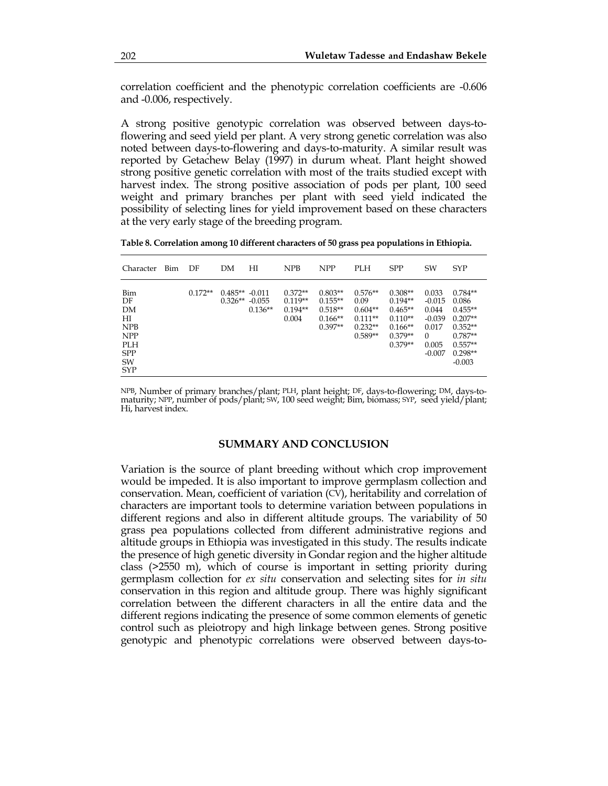correlation coefficient and the phenotypic correlation coefficients are -0.606 and -0.006, respectively.

A strong positive genotypic correlation was observed between days-toflowering and seed yield per plant. A very strong genetic correlation was also noted between days-to-flowering and days-to-maturity. A similar result was reported by Getachew Belay (1997) in durum wheat. Plant height showed strong positive genetic correlation with most of the traits studied except with harvest index. The strong positive association of pods per plant, 100 seed weight and primary branches per plant with seed yield indicated the possibility of selecting lines for yield improvement based on these characters at the very early stage of the breeding program.

**Table 8. Correlation among 10 different characters of 50 grass pea populations in Ethiopia.** 

| Character                                                                                   | <b>Bim</b> | DF        | DМ                                   | НI        | <b>NPB</b>                                   | <b>NPP</b>                                                    | <b>PLH</b>                                                            | <b>SPP</b>                                                                              | SW                                                                               | <b>SYP</b>                                                                                                   |
|---------------------------------------------------------------------------------------------|------------|-----------|--------------------------------------|-----------|----------------------------------------------|---------------------------------------------------------------|-----------------------------------------------------------------------|-----------------------------------------------------------------------------------------|----------------------------------------------------------------------------------|--------------------------------------------------------------------------------------------------------------|
| Bim<br>DF<br>DM<br>НІ<br><b>NPB</b><br><b>NPP</b><br>PLH.<br><b>SPP</b><br>SW<br><b>SYP</b> |            | $0.172**$ | $0.485** -0.011$<br>$0.326** -0.055$ | $0.136**$ | $0.372**$<br>$0.119**$<br>$0.194**$<br>0.004 | $0.803**$<br>$0.155**$<br>$0.518**$<br>$0.166**$<br>$0.397**$ | $0.576**$<br>0.09<br>$0.604**$<br>$0.111**$<br>$0.232**$<br>$0.589**$ | $0.308**$<br>$0.194**$<br>$0.465**$<br>$0.110**$<br>$0.166**$<br>$0.379**$<br>$0.379**$ | 0.033<br>$-0.015$<br>0.044<br>$-0.039$<br>0.017<br>$\Omega$<br>0.005<br>$-0.007$ | $0.784**$<br>0.086<br>$0.455**$<br>$0.207**$<br>$0.352**$<br>$0.787**$<br>$0.557**$<br>$0.298**$<br>$-0.003$ |

NPB, Number of primary branches/plant; PLH, plant height; DF, days-to-flowering; DM, days-tomaturity; NPP, number of pods/plant; SW, 100 seed weight; Bim, biomass; SYP, seed yield/plant;<br>Hi, harvest index.

#### **SUMMARY AND CONCLUSION**

Variation is the source of plant breeding without which crop improvement would be impeded. It is also important to improve germplasm collection and conservation. Mean, coefficient of variation (CV), heritability and correlation of characters are important tools to determine variation between populations in different regions and also in different altitude groups. The variability of 50 grass pea populations collected from different administrative regions and altitude groups in Ethiopia was investigated in this study. The results indicate the presence of high genetic diversity in Gondar region and the higher altitude class (>2550 m), which of course is important in setting priority during germplasm collection for *ex situ* conservation and selecting sites for *in situ* conservation in this region and altitude group. There was highly significant correlation between the different characters in all the entire data and the different regions indicating the presence of some common elements of genetic control such as pleiotropy and high linkage between genes. Strong positive genotypic and phenotypic correlations were observed between days-to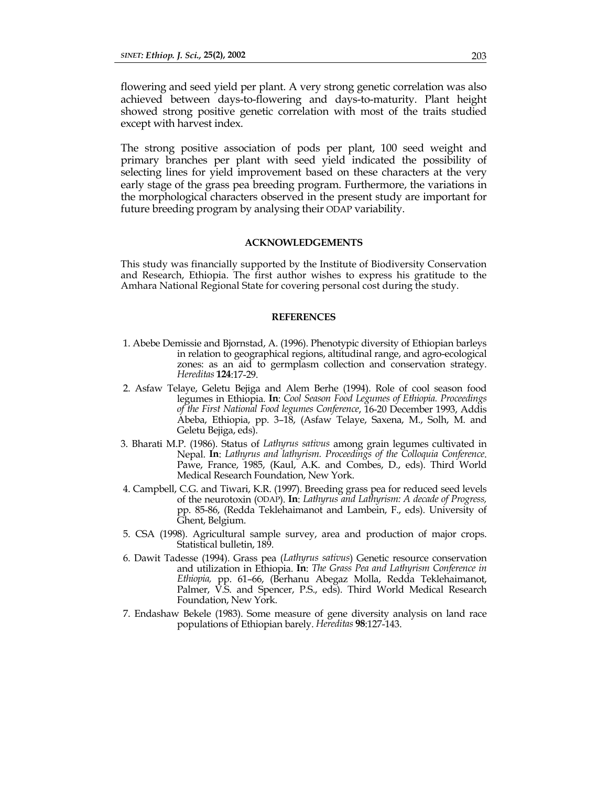flowering and seed yield per plant. A very strong genetic correlation was also achieved between days-to-flowering and days-to-maturity. Plant height showed strong positive genetic correlation with most of the traits studied except with harvest index.

The strong positive association of pods per plant, 100 seed weight and primary branches per plant with seed yield indicated the possibility of selecting lines for yield improvement based on these characters at the very early stage of the grass pea breeding program. Furthermore, the variations in the morphological characters observed in the present study are important for future breeding program by analysing their ODAP variability.

#### **ACKNOWLEDGEMENTS**

This study was financially supported by the Institute of Biodiversity Conservation and Research, Ethiopia. The first author wishes to express his gratitude to the Amhara National Regional State for covering personal cost during the study.

#### **REFERENCES**

- 1. Abebe Demissie and Bjornstad, A. (1996). Phenotypic diversity of Ethiopian barleys in relation to geographical regions, altitudinal range, and agro-ecological zones: as an aid to germplasm collection and conservation strategy. *Hereditas* **124**:17-29.
- 2. Asfaw Telaye, Geletu Bejiga and Alem Berhe (1994). Role of cool season food legumes in Ethiopia. **In**: *Cool Season Food Legumes of Ethiopia. Proceedings of the First National Food legumes Conference*, 16-20 December 1993, Addis Abeba, Ethiopia, pp. 3–18, (Asfaw Telaye, Saxena, M., Solh, M. and Geletu Bejiga, eds).
- 3. Bharati M.P. (1986). Status of *Lathyrus sativus* among grain legumes cultivated in Nepal. **In**: *Lathyrus and lathyrism. Proceedings of the Colloquia Conference*. Pawe, France, 1985, (Kaul, A.K. and Combes, D., eds). Third World Medical Research Foundation, New York.
- 4. Campbell, C.G. and Tiwari, K.R. (1997). Breeding grass pea for reduced seed levels of the neurotoxin (ODAP). **In**: *Lathyrus and Lathyrism: A decade of Progress,* pp. 85-86, (Redda Teklehaimanot and Lambein, F., eds). University of Ghent, Belgium.
- 5. CSA (1998). Agricultural sample survey, area and production of major crops. Statistical bulletin, 189.
- 6. Dawit Tadesse (1994). Grass pea (*Lathyrus sativus*) Genetic resource conservation and utilization in Ethiopia. **In**: *The Grass Pea and Lathyrism Conference in Ethiopia,* pp. 61–66, (Berhanu Abegaz Molla, Redda Teklehaimanot, Palmer, V.S. and Spencer, P.S., eds). Third World Medical Research Foundation, New York.
- 7. Endashaw Bekele (1983). Some measure of gene diversity analysis on land race populations of Ethiopian barely. *Hereditas* **98**:127-143.